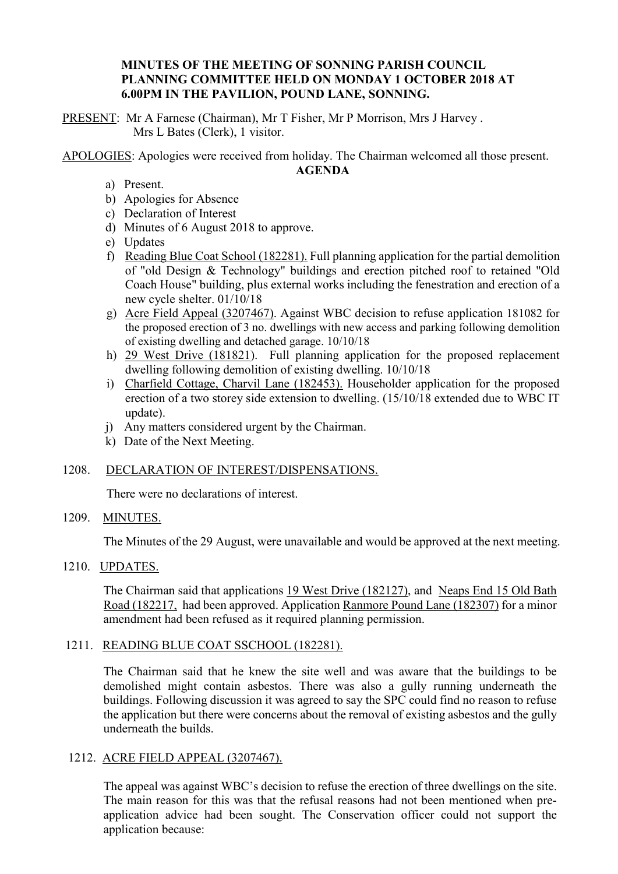### **MINUTES OF THE MEETING OF SONNING PARISH COUNCIL PLANNING COMMITTEE HELD ON MONDAY 1 OCTOBER 2018 AT 6.00PM IN THE PAVILION, POUND LANE, SONNING.**

PRESENT: Mr A Farnese (Chairman), Mr T Fisher, Mr P Morrison, Mrs J Harvey . Mrs L Bates (Clerk), 1 visitor.

APOLOGIES: Apologies were received from holiday. The Chairman welcomed all those present.

**AGENDA**

- a) Present.
- b) Apologies for Absence
- c) Declaration of Interest
- d) Minutes of 6 August 2018 to approve.
- e) Updates
- f) Reading Blue Coat School (182281). Full planning application for the partial demolition of "old Design & Technology" buildings and erection pitched roof to retained "Old Coach House" building, plus external works including the fenestration and erection of a new cycle shelter. 01/10/18
- g) Acre Field Appeal (3207467). Against WBC decision to refuse application 181082 for the proposed erection of 3 no. dwellings with new access and parking following demolition of existing dwelling and detached garage. 10/10/18
- h) 29 West Drive (181821). Full planning application for the proposed replacement dwelling following demolition of existing dwelling. 10/10/18
- i) Charfield Cottage, Charvil Lane (182453). Householder application for the proposed erection of a two storey side extension to dwelling. (15/10/18 extended due to WBC IT update).
- j) Any matters considered urgent by the Chairman.
- k) Date of the Next Meeting.

## 1208. DECLARATION OF INTEREST/DISPENSATIONS.

There were no declarations of interest.

### 1209. MINUTES.

The Minutes of the 29 August, were unavailable and would be approved at the next meeting.

### 1210. UPDATES.

The Chairman said that applications 19 West Drive (182127), and Neaps End 15 Old Bath Road (182217, had been approved. Application Ranmore Pound Lane (182307) for a minor amendment had been refused as it required planning permission.

#### 1211. READING BLUE COAT SSCHOOL (182281).

The Chairman said that he knew the site well and was aware that the buildings to be demolished might contain asbestos. There was also a gully running underneath the buildings. Following discussion it was agreed to say the SPC could find no reason to refuse the application but there were concerns about the removal of existing asbestos and the gully underneath the builds.

## 1212. ACRE FIELD APPEAL (3207467).

The appeal was against WBC's decision to refuse the erection of three dwellings on the site. The main reason for this was that the refusal reasons had not been mentioned when preapplication advice had been sought. The Conservation officer could not support the application because: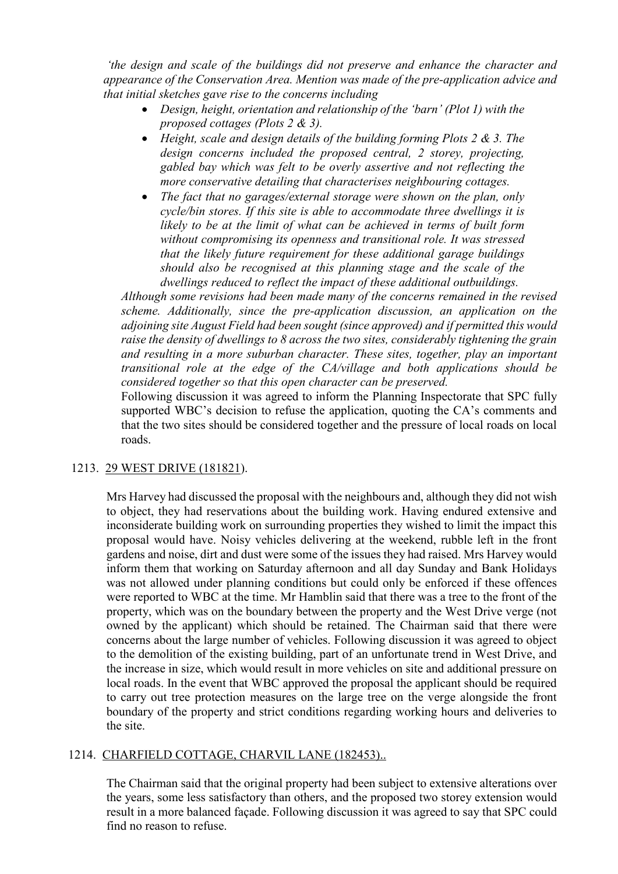*'the design and scale of the buildings did not preserve and enhance the character and appearance of the Conservation Area. Mention was made of the pre-application advice and that initial sketches gave rise to the concerns including* 

- *Design, height, orientation and relationship of the 'barn' (Plot 1) with the proposed cottages (Plots 2 & 3).*
- *Height, scale and design details of the building forming Plots 2 & 3. The design concerns included the proposed central, 2 storey, projecting, gabled bay which was felt to be overly assertive and not reflecting the more conservative detailing that characterises neighbouring cottages.*
- *The fact that no garages/external storage were shown on the plan, only cycle/bin stores. If this site is able to accommodate three dwellings it is likely to be at the limit of what can be achieved in terms of built form without compromising its openness and transitional role. It was stressed that the likely future requirement for these additional garage buildings should also be recognised at this planning stage and the scale of the dwellings reduced to reflect the impact of these additional outbuildings.*

*Although some revisions had been made many of the concerns remained in the revised scheme. Additionally, since the pre-application discussion, an application on the adjoining site August Field had been sought (since approved) and if permitted this would raise the density of dwellings to 8 across the two sites, considerably tightening the grain and resulting in a more suburban character. These sites, together, play an important transitional role at the edge of the CA/village and both applications should be considered together so that this open character can be preserved.*

Following discussion it was agreed to inform the Planning Inspectorate that SPC fully supported WBC's decision to refuse the application, quoting the CA's comments and that the two sites should be considered together and the pressure of local roads on local roads.

#### 1213. 29 WEST DRIVE (181821).

Mrs Harvey had discussed the proposal with the neighbours and, although they did not wish to object, they had reservations about the building work. Having endured extensive and inconsiderate building work on surrounding properties they wished to limit the impact this proposal would have. Noisy vehicles delivering at the weekend, rubble left in the front gardens and noise, dirt and dust were some of the issues they had raised. Mrs Harvey would inform them that working on Saturday afternoon and all day Sunday and Bank Holidays was not allowed under planning conditions but could only be enforced if these offences were reported to WBC at the time. Mr Hamblin said that there was a tree to the front of the property, which was on the boundary between the property and the West Drive verge (not owned by the applicant) which should be retained. The Chairman said that there were concerns about the large number of vehicles. Following discussion it was agreed to object to the demolition of the existing building, part of an unfortunate trend in West Drive, and the increase in size, which would result in more vehicles on site and additional pressure on local roads. In the event that WBC approved the proposal the applicant should be required to carry out tree protection measures on the large tree on the verge alongside the front boundary of the property and strict conditions regarding working hours and deliveries to the site.

## 1214. CHARFIELD COTTAGE, CHARVIL LANE (182453)..

The Chairman said that the original property had been subject to extensive alterations over the years, some less satisfactory than others, and the proposed two storey extension would result in a more balanced façade. Following discussion it was agreed to say that SPC could find no reason to refuse.